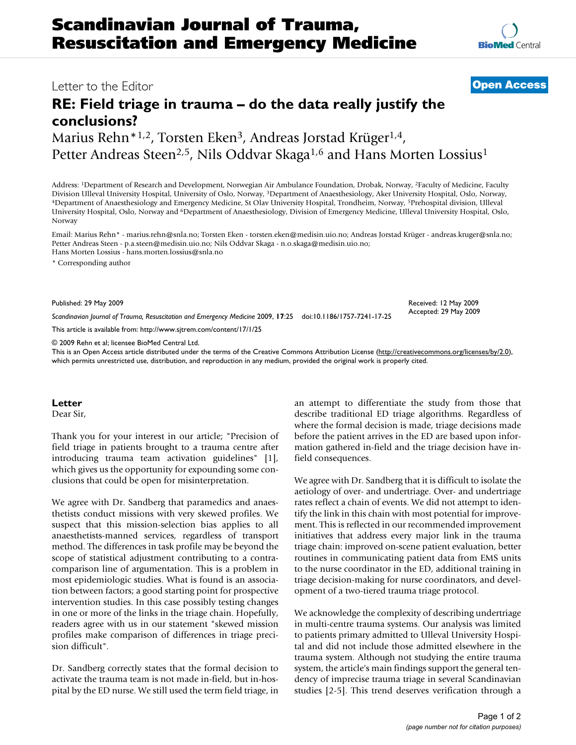## Letter to the Editor **[Open Access](http://www.biomedcentral.com/info/about/charter/)**

## **RE: Field triage in trauma – do the data really justify the conclusions?** Marius Rehn<sup>\*1,2</sup>, Torsten Eken<sup>3</sup>, Andreas Jorstad Krüger<sup>1,4</sup>,

Petter Andreas Steen<sup>2,5</sup>, Nils Oddvar Skaga<sup>1,6</sup> and Hans Morten Lossius<sup>1</sup>

Address: 1Department of Research and Development, Norwegian Air Ambulance Foundation, Drobak, Norway, 2Faculty of Medicine, Faculty Division Ulleval University Hospital, University of Oslo, Norway, <sup>3</sup>Department of Anaesthesiology, Aker University Hospital, Oslo, Norway, <sup>4</sup>Department of Anaesthesiology and Emergency Medicine, St Olav University Hospit University Hospital, Oslo, Norway and 6Department of Anaesthesiology, Division of Emergency Medicine, Ulleval University Hospital, Oslo, Norway

Email: Marius Rehn\* - marius.rehn@snla.no; Torsten Eken - torsten.eken@medisin.uio.no; Andreas Jorstad Krüger - andreas.kruger@snla.no; Petter Andreas Steen - p.a.steen@medisin.uio.no; Nils Oddvar Skaga - n.o.skaga@medisin.uio.no; Hans Morten Lossius - hans.morten.lossius@snla.no

\* Corresponding author

Published: 29 May 2009

*Scandinavian Journal of Trauma, Resuscitation and Emergency Medicine* 2009, **17**:25 doi:10.1186/1757-7241-17-25

[This article is available from: http://www.sjtrem.com/content/17/1/25](http://www.sjtrem.com/content/17/1/25)

© 2009 Rehn et al; licensee BioMed Central Ltd.

This is an Open Access article distributed under the terms of the Creative Commons Attribution License [\(http://creativecommons.org/licenses/by/2.0\)](http://creativecommons.org/licenses/by/2.0), which permits unrestricted use, distribution, and reproduction in any medium, provided the original work is properly cited.

## **Letter**

Dear Sir,

Thank you for your interest in our article; "Precision of field triage in patients brought to a trauma centre after introducing trauma team activation guidelines" [1], which gives us the opportunity for expounding some conclusions that could be open for misinterpretation.

We agree with Dr. Sandberg that paramedics and anaesthetists conduct missions with very skewed profiles. We suspect that this mission-selection bias applies to all anaesthetists-manned services, regardless of transport method. The differences in task profile may be beyond the scope of statistical adjustment contributing to a contracomparison line of argumentation. This is a problem in most epidemiologic studies. What is found is an association between factors; a good starting point for prospective intervention studies. In this case possibly testing changes in one or more of the links in the triage chain. Hopefully, readers agree with us in our statement "skewed mission profiles make comparison of differences in triage precision difficult".

Dr. Sandberg correctly states that the formal decision to activate the trauma team is not made in-field, but in-hospital by the ED nurse. We still used the term field triage, in an attempt to differentiate the study from those that describe traditional ED triage algorithms. Regardless of where the formal decision is made, triage decisions made before the patient arrives in the ED are based upon information gathered in-field and the triage decision have infield consequences.

Received: 12 May 2009 Accepted: 29 May 2009

We agree with Dr. Sandberg that it is difficult to isolate the aetiology of over- and undertriage. Over- and undertriage rates reflect a chain of events. We did not attempt to identify the link in this chain with most potential for improvement. This is reflected in our recommended improvement initiatives that address every major link in the trauma triage chain: improved on-scene patient evaluation, better routines in communicating patient data from EMS units to the nurse coordinator in the ED, additional training in triage decision-making for nurse coordinators, and development of a two-tiered trauma triage protocol.

We acknowledge the complexity of describing undertriage in multi-centre trauma systems. Our analysis was limited to patients primary admitted to Ulleval University Hospital and did not include those admitted elsewhere in the trauma system. Although not studying the entire trauma system, the article's main findings support the general tendency of imprecise trauma triage in several Scandinavian studies [2-5]. This trend deserves verification through a